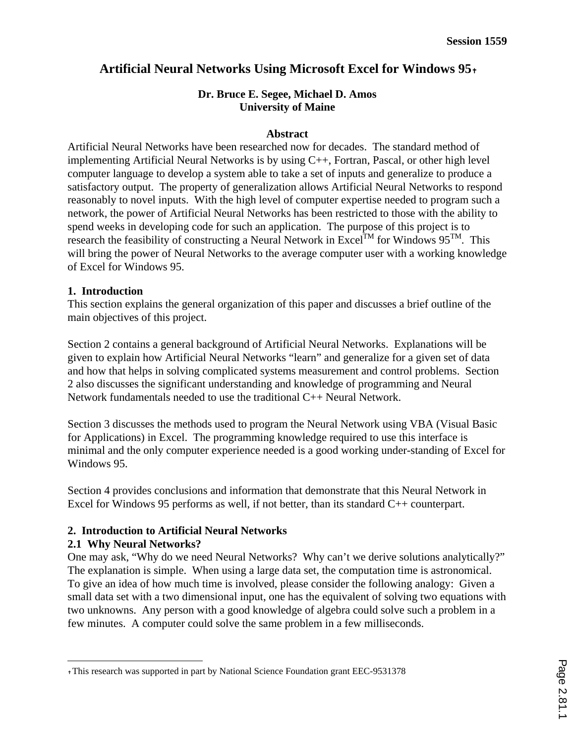# **Artificial Neural Networks Using Microsoft Excel for Windows 95**✝

## **Dr. Bruce E. Segee, Michael D. Amos University of Maine**

### **Abstract**

Artificial Neural Networks have been researched now for decades. The standard method of implementing Artificial Neural Networks is by using C++, Fortran, Pascal, or other high level computer language to develop a system able to take a set of inputs and generalize to produce a satisfactory output. The property of generalization allows Artificial Neural Networks to respond reasonably to novel inputs. With the high level of computer expertise needed to program such a network, the power of Artificial Neural Networks has been restricted to those with the ability to spend weeks in developing code for such an application. The purpose of this project is to research the feasibility of constructing a Neural Network in Excel<sup>TM</sup> for Windows 95<sup>TM</sup>. This will bring the power of Neural Networks to the average computer user with a working knowledge of Excel for Windows 95.

### **1. Introduction**

This section explains the general organization of this paper and discusses a brief outline of the main objectives of this project.

Section 2 contains a general background of Artificial Neural Networks. Explanations will be given to explain how Artificial Neural Networks "learn" and generalize for a given set of data and how that helps in solving complicated systems measurement and control problems. Section 2 also discusses the significant understanding and knowledge of programming and Neural Network fundamentals needed to use the traditional C++ Neural Network.

Section 3 discusses the methods used to program the Neural Network using VBA (Visual Basic for Applications) in Excel. The programming knowledge required to use this interface is minimal and the only computer experience needed is a good working under-standing of Excel for Windows 95.

Section 4 provides conclusions and information that demonstrate that this Neural Network in Excel for Windows 95 performs as well, if not better, than its standard C++ counterpart.

## **2. Introduction to Artificial Neural Networks**

### **2.1 Why Neural Networks?**

 $\overline{a}$ 

One may ask, "Why do we need Neural Networks? Why can't we derive solutions analytically?" The explanation is simple. When using a large data set, the computation time is astronomical. To give an idea of how much time is involved, please consider the following analogy: Given a small data set with a two dimensional input, one has the equivalent of solving two equations with two unknowns. Any person with a good knowledge of algebra could solve such a problem in a few minutes. A computer could solve the same problem in a few milliseconds.

<sup>✝</sup> This research was supported in part by National Science Foundation grant EEC-9531378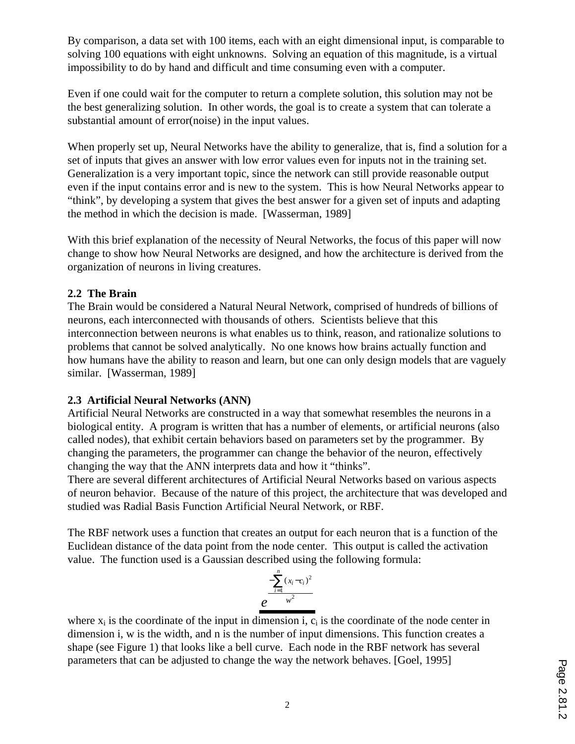By comparison, a data set with 100 items, each with an eight dimensional input, is comparable to solving 100 equations with eight unknowns. Solving an equation of this magnitude, is a virtual impossibility to do by hand and difficult and time consuming even with a computer.

Even if one could wait for the computer to return a complete solution, this solution may not be the best generalizing solution. In other words, the goal is to create a system that can tolerate a substantial amount of error(noise) in the input values.

When properly set up, Neural Networks have the ability to generalize, that is, find a solution for a set of inputs that gives an answer with low error values even for inputs not in the training set. Generalization is a very important topic, since the network can still provide reasonable output even if the input contains error and is new to the system. This is how Neural Networks appear to "think", by developing a system that gives the best answer for a given set of inputs and adapting the method in which the decision is made. [Wasserman, 1989]

With this brief explanation of the necessity of Neural Networks, the focus of this paper will now change to show how Neural Networks are designed, and how the architecture is derived from the organization of neurons in living creatures.

## **2.2 The Brain**

The Brain would be considered a Natural Neural Network, comprised of hundreds of billions of neurons, each interconnected with thousands of others. Scientists believe that this interconnection between neurons is what enables us to think, reason, and rationalize solutions to problems that cannot be solved analytically. No one knows how brains actually function and how humans have the ability to reason and learn, but one can only design models that are vaguely similar. [Wasserman, 1989]

## **2.3 Artificial Neural Networks (ANN)**

Artificial Neural Networks are constructed in a way that somewhat resembles the neurons in a biological entity. A program is written that has a number of elements, or artificial neurons (also called nodes), that exhibit certain behaviors based on parameters set by the programmer. By changing the parameters, the programmer can change the behavior of the neuron, effectively changing the way that the ANN interprets data and how it "thinks".

There are several different architectures of Artificial Neural Networks based on various aspects of neuron behavior. Because of the nature of this project, the architecture that was developed and studied was Radial Basis Function Artificial Neural Network, or RBF.

The RBF network uses a function that creates an output for each neuron that is a function of the Euclidean distance of the data point from the node center. This output is called the activation value. The function used is a Gaussian described using the following formula:



where  $x_i$  is the coordinate of the input in dimension i,  $c_i$  is the coordinate of the node center in dimension i, w is the width, and n is the number of input dimensions. This function creates a shape (see Figure 1) that looks like a bell curve. Each node in the RBF network has several parameters that can be adjusted to change the way the network behaves. [Goel, 1995]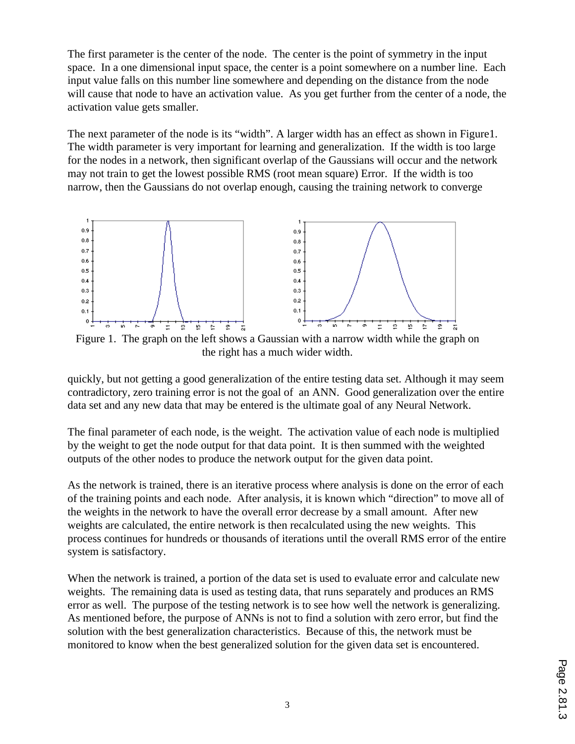The first parameter is the center of the node. The center is the point of symmetry in the input space. In a one dimensional input space, the center is a point somewhere on a number line. Each input value falls on this number line somewhere and depending on the distance from the node will cause that node to have an activation value. As you get further from the center of a node, the activation value gets smaller.

The next parameter of the node is its "width". A larger width has an effect as shown in Figure1. The width parameter is very important for learning and generalization. If the width is too large for the nodes in a network, then significant overlap of the Gaussians will occur and the network may not train to get the lowest possible RMS (root mean square) Error. If the width is too narrow, then the Gaussians do not overlap enough, causing the training network to converge



Figure 1. The graph on the left shows a Gaussian with a narrow width while the graph on the right has a much wider width.

quickly, but not getting a good generalization of the entire testing data set. Although it may seem contradictory, zero training error is not the goal of an ANN. Good generalization over the entire data set and any new data that may be entered is the ultimate goal of any Neural Network.

The final parameter of each node, is the weight. The activation value of each node is multiplied by the weight to get the node output for that data point. It is then summed with the weighted outputs of the other nodes to produce the network output for the given data point.

As the network is trained, there is an iterative process where analysis is done on the error of each of the training points and each node. After analysis, it is known which "direction" to move all of the weights in the network to have the overall error decrease by a small amount. After new weights are calculated, the entire network is then recalculated using the new weights. This process continues for hundreds or thousands of iterations until the overall RMS error of the entire system is satisfactory.

When the network is trained, a portion of the data set is used to evaluate error and calculate new weights. The remaining data is used as testing data, that runs separately and produces an RMS error as well. The purpose of the testing network is to see how well the network is generalizing. As mentioned before, the purpose of ANNs is not to find a solution with zero error, but find the solution with the best generalization characteristics. Because of this, the network must be monitored to know when the best generalized solution for the given data set is encountered.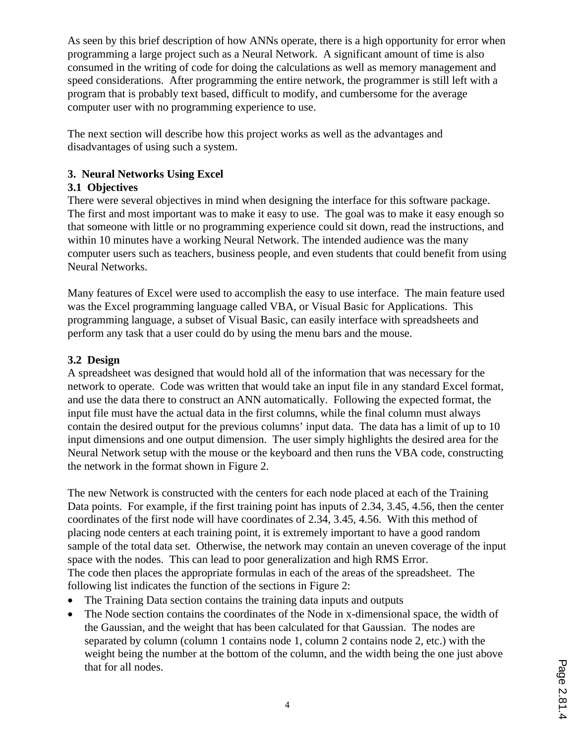As seen by this brief description of how ANNs operate, there is a high opportunity for error when programming a large project such as a Neural Network. A significant amount of time is also consumed in the writing of code for doing the calculations as well as memory management and speed considerations. After programming the entire network, the programmer is still left with a program that is probably text based, difficult to modify, and cumbersome for the average computer user with no programming experience to use.

The next section will describe how this project works as well as the advantages and disadvantages of using such a system.

## **3. Neural Networks Using Excel**

## **3.1 Objectives**

There were several objectives in mind when designing the interface for this software package. The first and most important was to make it easy to use. The goal was to make it easy enough so that someone with little or no programming experience could sit down, read the instructions, and within 10 minutes have a working Neural Network. The intended audience was the many computer users such as teachers, business people, and even students that could benefit from using Neural Networks.

Many features of Excel were used to accomplish the easy to use interface. The main feature used was the Excel programming language called VBA, or Visual Basic for Applications. This programming language, a subset of Visual Basic, can easily interface with spreadsheets and perform any task that a user could do by using the menu bars and the mouse.

## **3.2 Design**

A spreadsheet was designed that would hold all of the information that was necessary for the network to operate. Code was written that would take an input file in any standard Excel format, and use the data there to construct an ANN automatically. Following the expected format, the input file must have the actual data in the first columns, while the final column must always contain the desired output for the previous columns' input data. The data has a limit of up to 10 input dimensions and one output dimension. The user simply highlights the desired area for the Neural Network setup with the mouse or the keyboard and then runs the VBA code, constructing the network in the format shown in Figure 2.

The new Network is constructed with the centers for each node placed at each of the Training Data points. For example, if the first training point has inputs of 2.34, 3.45, 4.56, then the center coordinates of the first node will have coordinates of 2.34, 3.45, 4.56. With this method of placing node centers at each training point, it is extremely important to have a good random sample of the total data set. Otherwise, the network may contain an uneven coverage of the input space with the nodes. This can lead to poor generalization and high RMS Error. The code then places the appropriate formulas in each of the areas of the spreadsheet. The following list indicates the function of the sections in Figure 2:

- The Training Data section contains the training data inputs and outputs
- The Node section contains the coordinates of the Node in x-dimensional space, the width of the Gaussian, and the weight that has been calculated for that Gaussian. The nodes are separated by column (column 1 contains node 1, column 2 contains node 2, etc.) with the weight being the number at the bottom of the column, and the width being the one just above that for all nodes.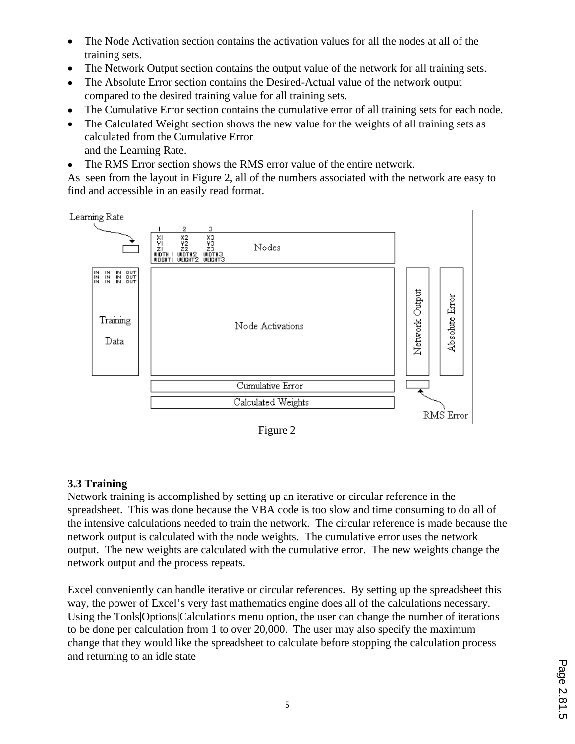- The Node Activation section contains the activation values for all the nodes at all of the training sets.
- The Network Output section contains the output value of the network for all training sets.
- The Absolute Error section contains the Desired-Actual value of the network output compared to the desired training value for all training sets.
- The Cumulative Error section contains the cumulative error of all training sets for each node.
- The Calculated Weight section shows the new value for the weights of all training sets as calculated from the Cumulative Error and the Learning Rate.
- The RMS Error section shows the RMS error value of the entire network.

As seen from the layout in Figure 2, all of the numbers associated with the network are easy to find and accessible in an easily read format.



Figure 2

## **3.3 Training**

Network training is accomplished by setting up an iterative or circular reference in the spreadsheet. This was done because the VBA code is too slow and time consuming to do all of the intensive calculations needed to train the network. The circular reference is made because the network output is calculated with the node weights. The cumulative error uses the network output. The new weights are calculated with the cumulative error. The new weights change the network output and the process repeats.

Excel conveniently can handle iterative or circular references. By setting up the spreadsheet this way, the power of Excel's very fast mathematics engine does all of the calculations necessary. Using the Tools|Options|Calculations menu option, the user can change the number of iterations to be done per calculation from 1 to over 20,000. The user may also specify the maximum change that they would like the spreadsheet to calculate before stopping the calculation process and returning to an idle state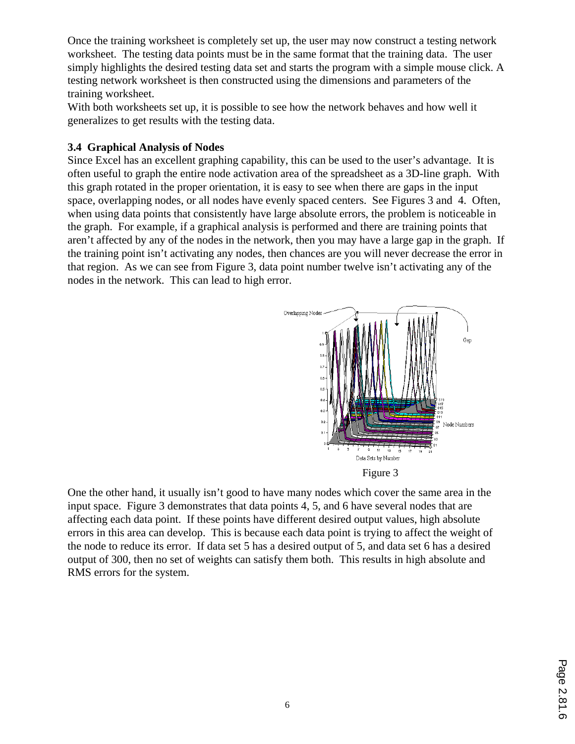Once the training worksheet is completely set up, the user may now construct a testing network worksheet. The testing data points must be in the same format that the training data. The user simply highlights the desired testing data set and starts the program with a simple mouse click. A testing network worksheet is then constructed using the dimensions and parameters of the training worksheet.

With both worksheets set up, it is possible to see how the network behaves and how well it generalizes to get results with the testing data.

### **3.4 Graphical Analysis of Nodes**

Since Excel has an excellent graphing capability, this can be used to the user's advantage. It is often useful to graph the entire node activation area of the spreadsheet as a 3D-line graph. With this graph rotated in the proper orientation, it is easy to see when there are gaps in the input space, overlapping nodes, or all nodes have evenly spaced centers. See Figures 3 and 4. Often, when using data points that consistently have large absolute errors, the problem is noticeable in the graph. For example, if a graphical analysis is performed and there are training points that aren't affected by any of the nodes in the network, then you may have a large gap in the graph. If the training point isn't activating any nodes, then chances are you will never decrease the error in that region. As we can see from Figure 3, data point number twelve isn't activating any of the nodes in the network. This can lead to high error.



One the other hand, it usually isn't good to have many nodes which cover the same area in the input space. Figure 3 demonstrates that data points 4, 5, and 6 have several nodes that are affecting each data point. If these points have different desired output values, high absolute errors in this area can develop. This is because each data point is trying to affect the weight of the node to reduce its error. If data set 5 has a desired output of 5, and data set 6 has a desired output of 300, then no set of weights can satisfy them both. This results in high absolute and RMS errors for the system.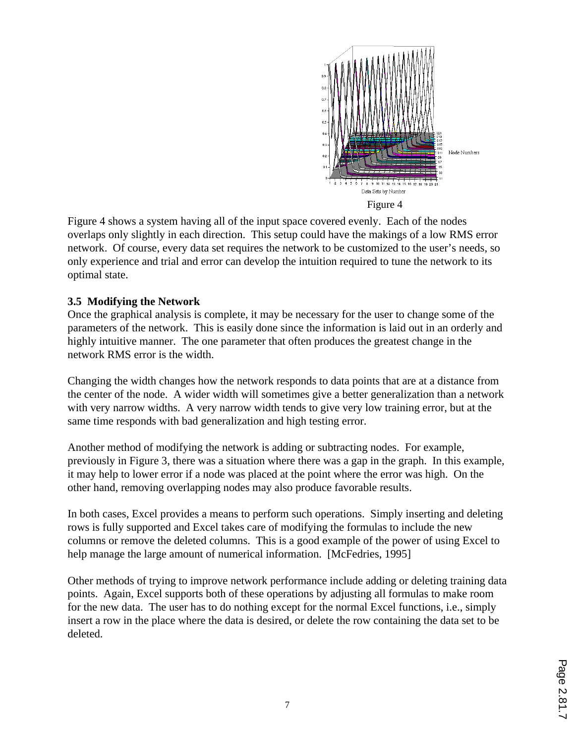

Figure 4 shows a system having all of the input space covered evenly. Each of the nodes overlaps only slightly in each direction. This setup could have the makings of a low RMS error network. Of course, every data set requires the network to be customized to the user's needs, so only experience and trial and error can develop the intuition required to tune the network to its optimal state.

## **3.5 Modifying the Network**

Once the graphical analysis is complete, it may be necessary for the user to change some of the parameters of the network. This is easily done since the information is laid out in an orderly and highly intuitive manner. The one parameter that often produces the greatest change in the network RMS error is the width.

Changing the width changes how the network responds to data points that are at a distance from the center of the node. A wider width will sometimes give a better generalization than a network with very narrow widths. A very narrow width tends to give very low training error, but at the same time responds with bad generalization and high testing error.

Another method of modifying the network is adding or subtracting nodes. For example, previously in Figure 3, there was a situation where there was a gap in the graph. In this example, it may help to lower error if a node was placed at the point where the error was high. On the other hand, removing overlapping nodes may also produce favorable results.

In both cases, Excel provides a means to perform such operations. Simply inserting and deleting rows is fully supported and Excel takes care of modifying the formulas to include the new columns or remove the deleted columns. This is a good example of the power of using Excel to help manage the large amount of numerical information. [McFedries, 1995]

Other methods of trying to improve network performance include adding or deleting training data points. Again, Excel supports both of these operations by adjusting all formulas to make room for the new data. The user has to do nothing except for the normal Excel functions, i.e., simply insert a row in the place where the data is desired, or delete the row containing the data set to be deleted.